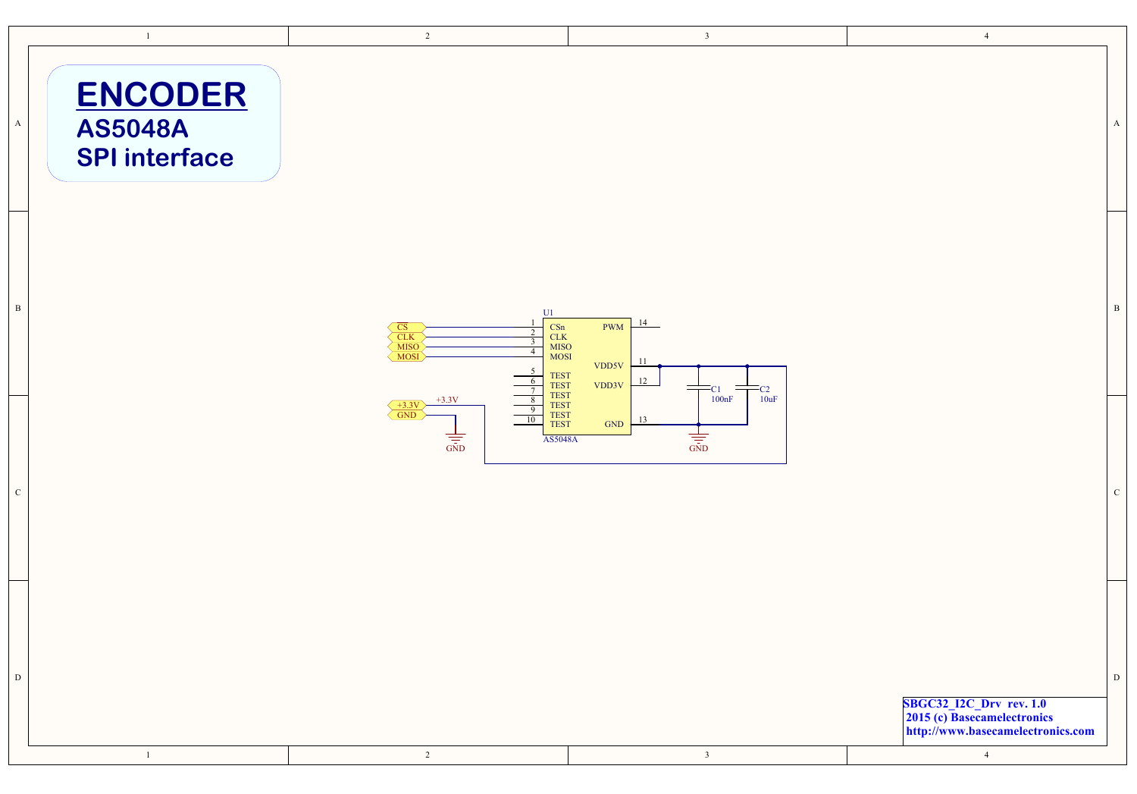|              | $\mathbf{1}$                                             | $\overline{2}$                                                                                                                                                                                                                                                                                                | $\overline{\mathbf{3}}$                                           | $\overline{4}$                                                                                                |              |
|--------------|----------------------------------------------------------|---------------------------------------------------------------------------------------------------------------------------------------------------------------------------------------------------------------------------------------------------------------------------------------------------------------|-------------------------------------------------------------------|---------------------------------------------------------------------------------------------------------------|--------------|
| $\mathbf A$  | <b>ENCODER</b><br><b>AS5048A</b><br><b>SPI</b> interface |                                                                                                                                                                                                                                                                                                               |                                                                   |                                                                                                               | $\mathbf A$  |
| $\, {\bf B}$ |                                                          | U1<br>$\frac{\text{CSn}}{\text{CLK}}$<br>$\begin{array}{c}\n\overline{\text{CS}}\\ \underline{\text{CLK}}\\ \underline{\text{MISO}}\\ \underline{\text{MOSI}}\n\end{array}$<br>$\overline{2}$<br>$\overline{\mathbf{3}}$<br>$\frac{\text{MISO}}{\text{MOSI}}$<br>$\overline{4}$<br><b>TEST</b><br><b>TEST</b> | 14<br>PWM<br>11<br>VDD5V<br>12<br>VDD3V<br>$=$<br>$=c_{2}$<br>-C1 |                                                                                                               | $\, {\bf B}$ |
| $\mathbf C$  |                                                          | $\begin{array}{c} \mathrm{TEST} \\ \mathrm{TEST} \end{array}$<br>$+3.3V$<br>8<br>$\frac{+3.3 \text{V}}{\text{GND}}$<br>9<br><b>TEST</b><br>10<br><b>TEST</b><br>$\frac{1}{\sin D}$<br><b>AS5048A</b>                                                                                                          | 10uF<br>100nF<br>13<br>GND<br>$\frac{1}{\sqrt{25}}$               |                                                                                                               | $\mathbf C$  |
| $\mathbf D$  | $\,1\,$                                                  | $\overline{2}$                                                                                                                                                                                                                                                                                                | $\overline{\mathbf{3}}$                                           | SBGC32_I2C_Drv rev. 1.0<br>2015 (c) Basecamelectronics<br>http://www.basecamelectronics.com<br>$\overline{4}$ | ${\rm D}$    |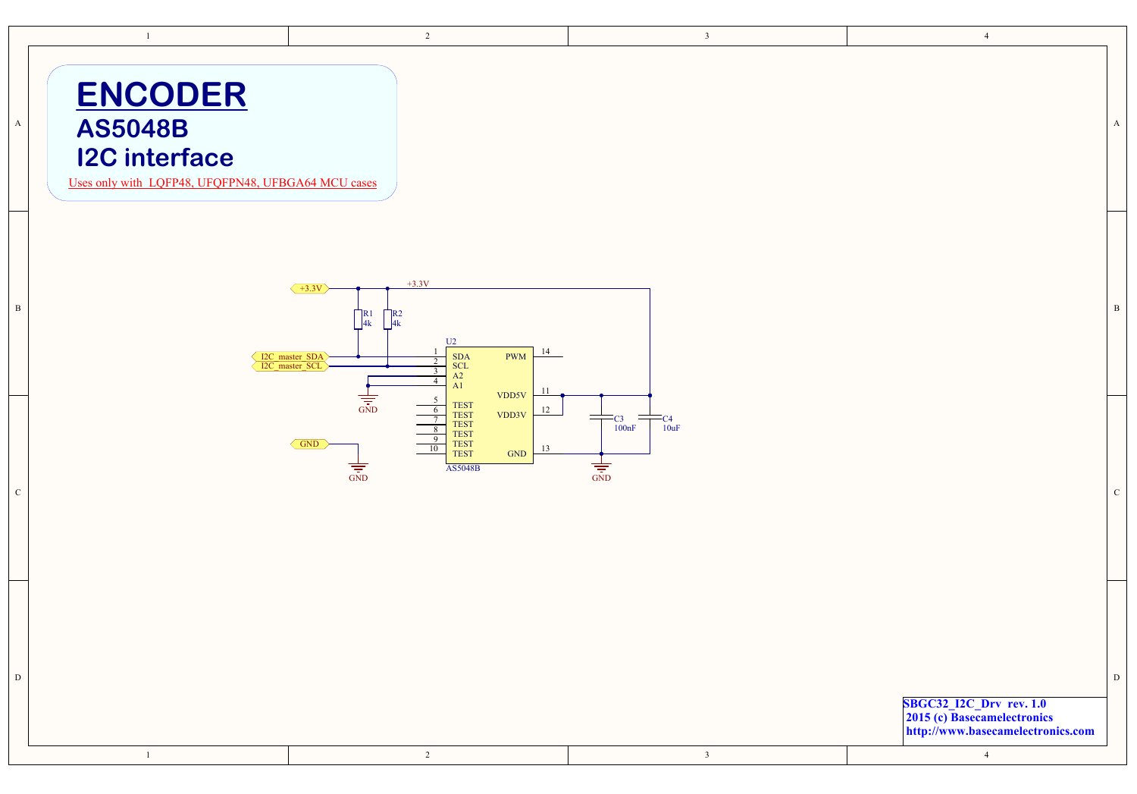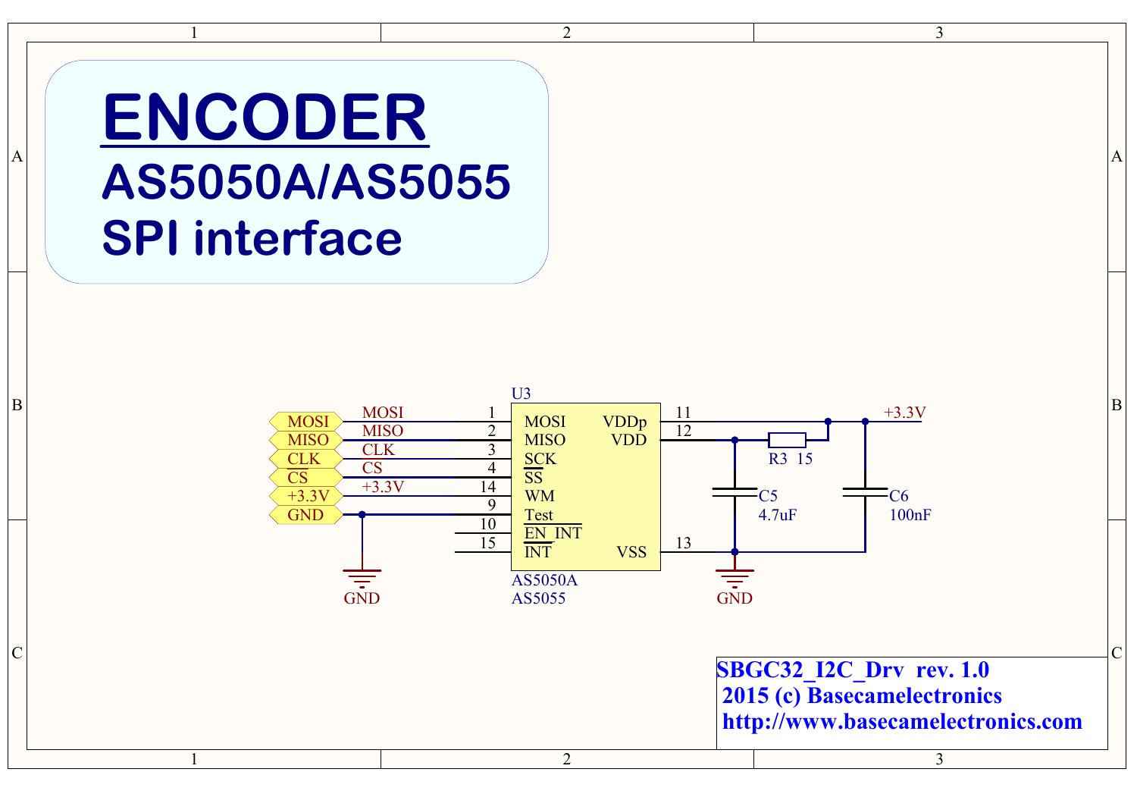## **ENCODER AS5050A/AS5055 SPI interface**

A



 $\overline{2}$ 

A

 $\overline{3}$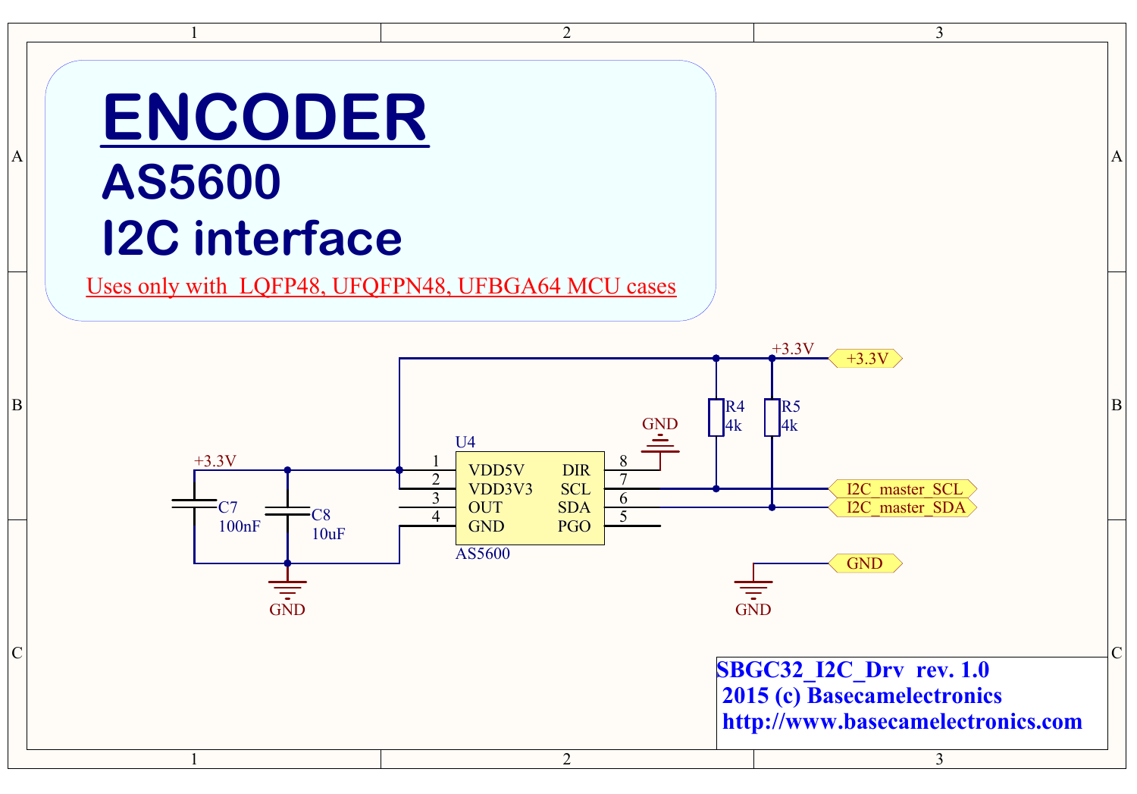### **ENCODER AS5600**

# **I2C interface**

C

B

A

Uses only with LQFP48, UFQFPN48, UFBGA64 MCU cases



 $\overline{2}$ 

A

 $\mathcal{E}$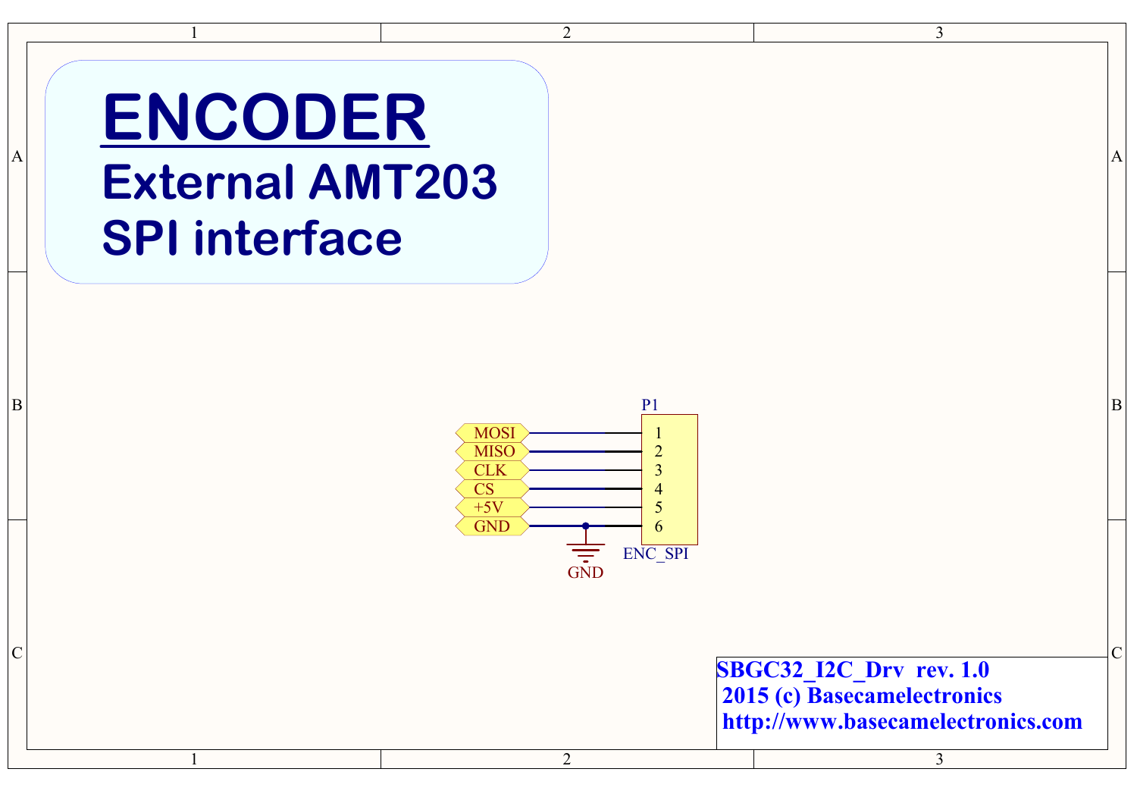#### $A \parallel$  and  $A \parallel$  and  $A \parallel$  and  $A \parallel$ **ENCODER External AMT203 SPI interface**

1

1



 $\overline{2}$ 

2

 $\sim$  C **SBGC32\_I2C\_Drv rev. 1.0 2015 (c) Basecamelectronics http://www.basecamelectronics.com**

3

3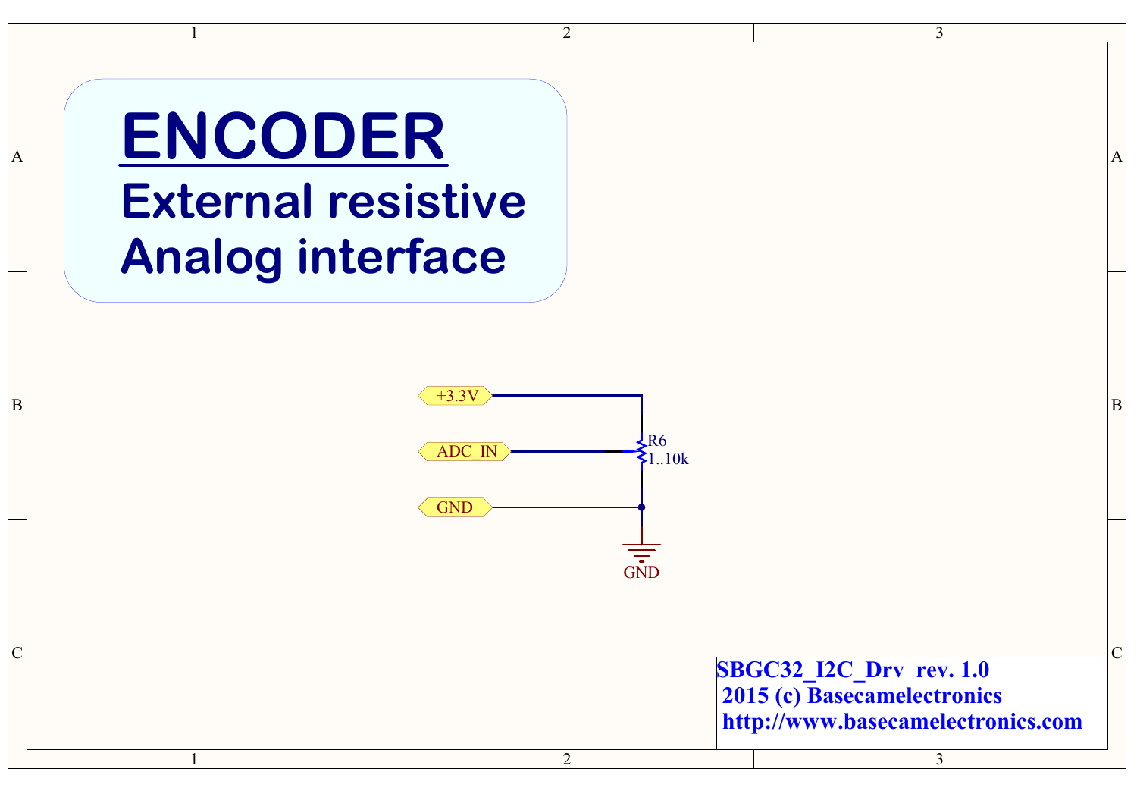# $\frac{1}{1}$ **ENCODER External resistive Analog interface**

C

B

A



2

 $\overline{2}$ 

 $\frac{3}{3}$ **SBGC32\_I2C\_Drv rev. 1.0 2015 (c) Basecamelectronics http://w w w.basecamelectronics.c o m**

3

 $\mathcal{E}$ 

C

B

A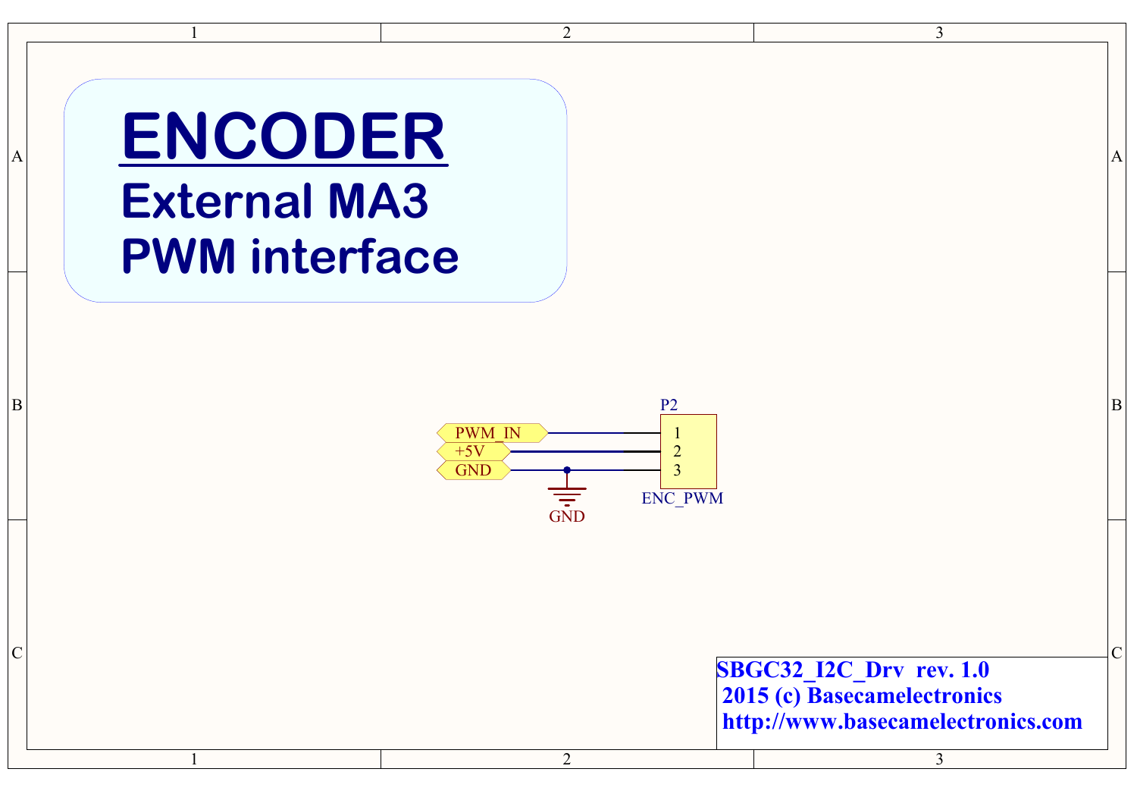# A ENCODER A **External MA3 PWM interface**

1

1



 $\overline{2}$ 

2

 $\sim$  C **SBGC32\_I2C\_Drv rev. 1.0 2015 (c) Basecamelectronics http://www.basecamelectronics.com**

3

3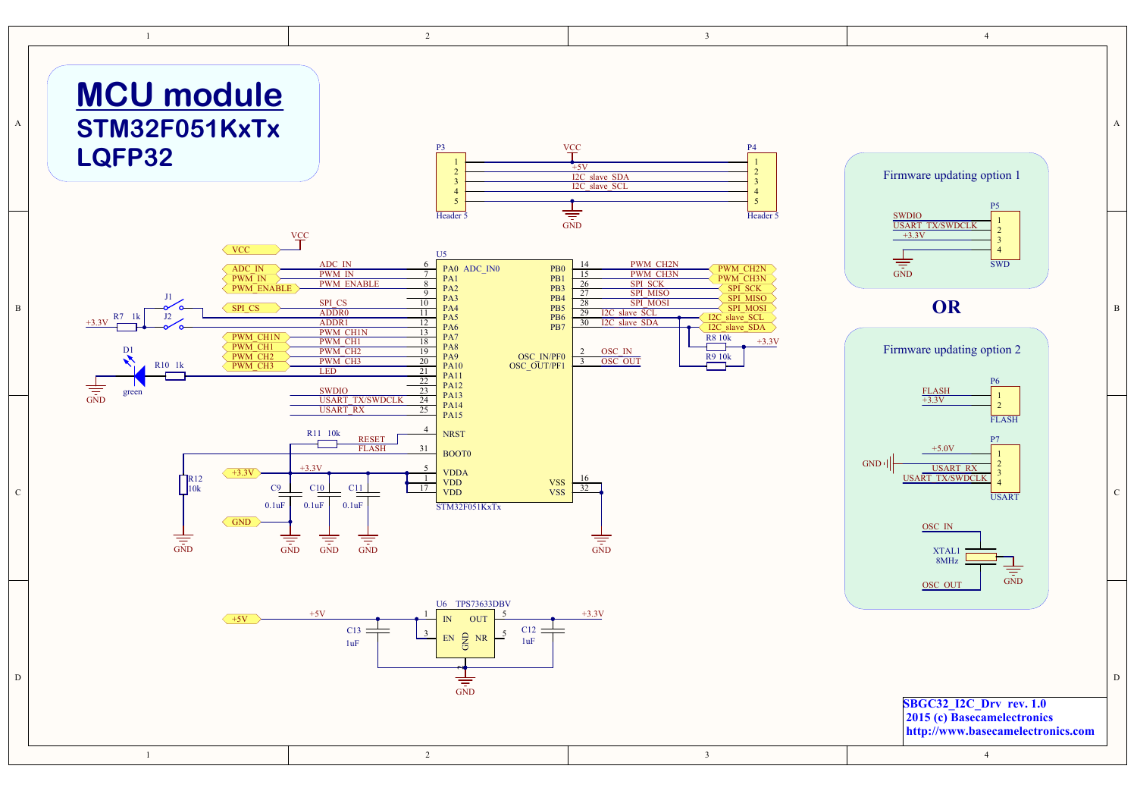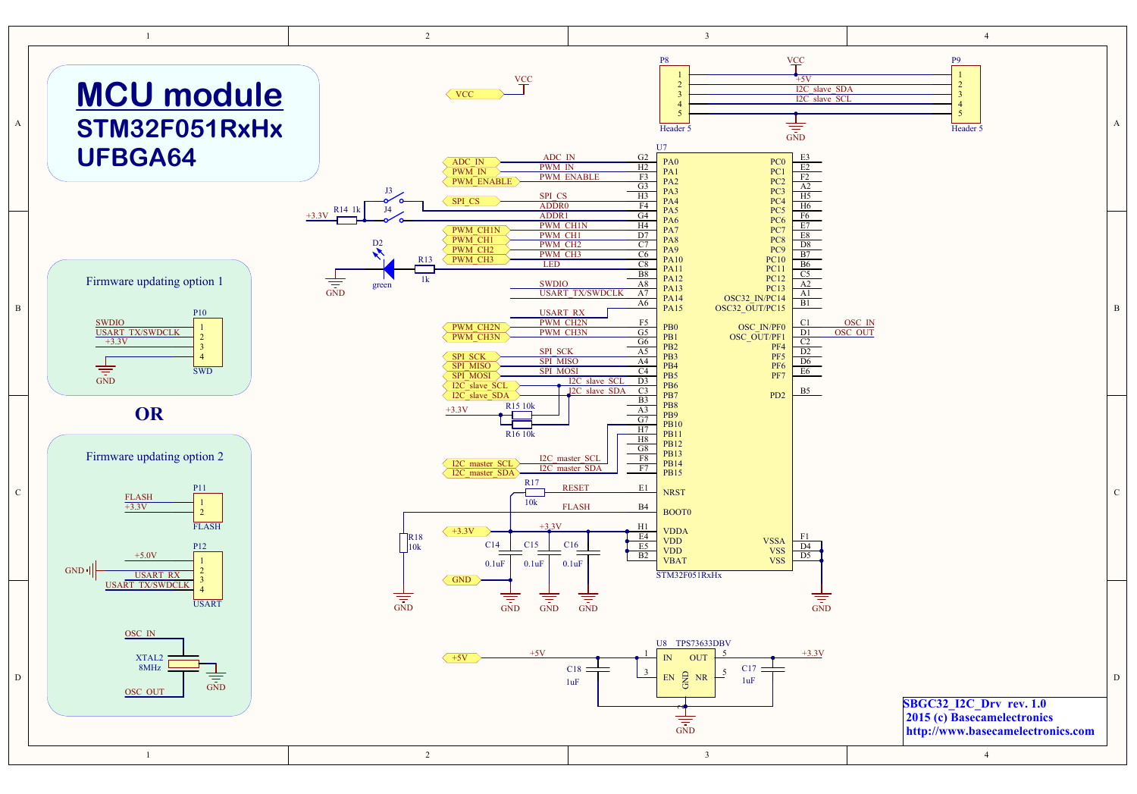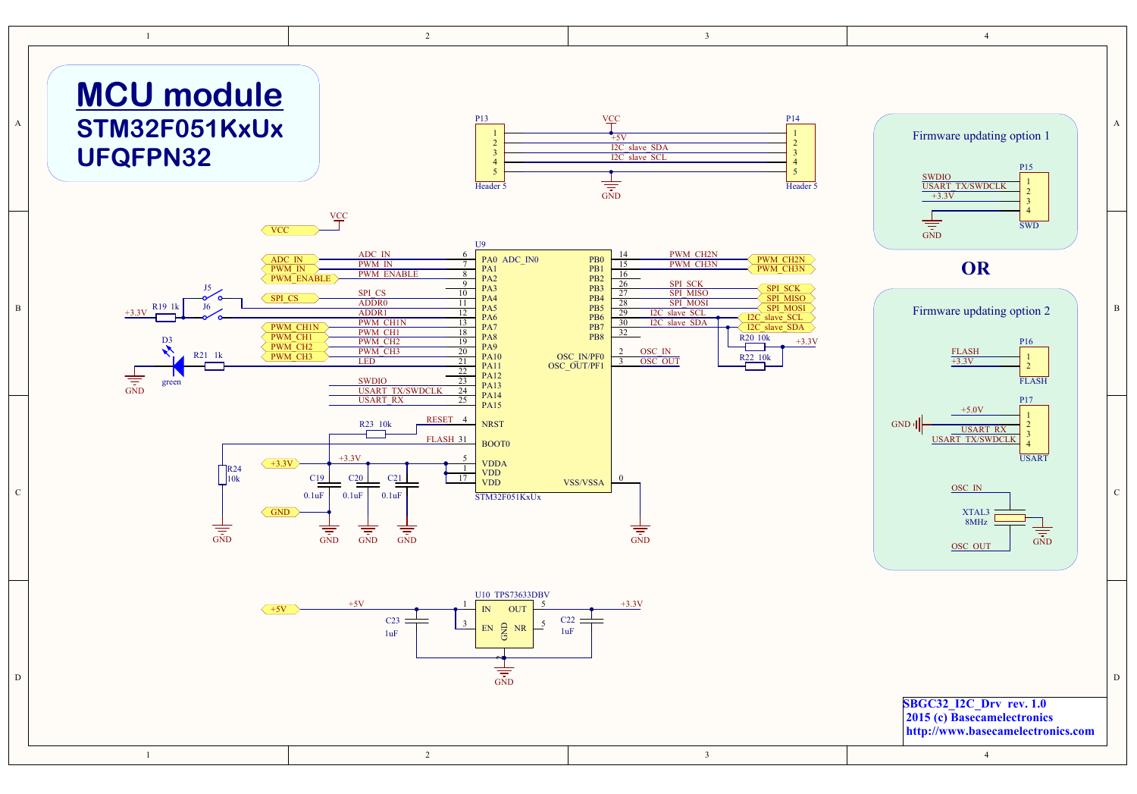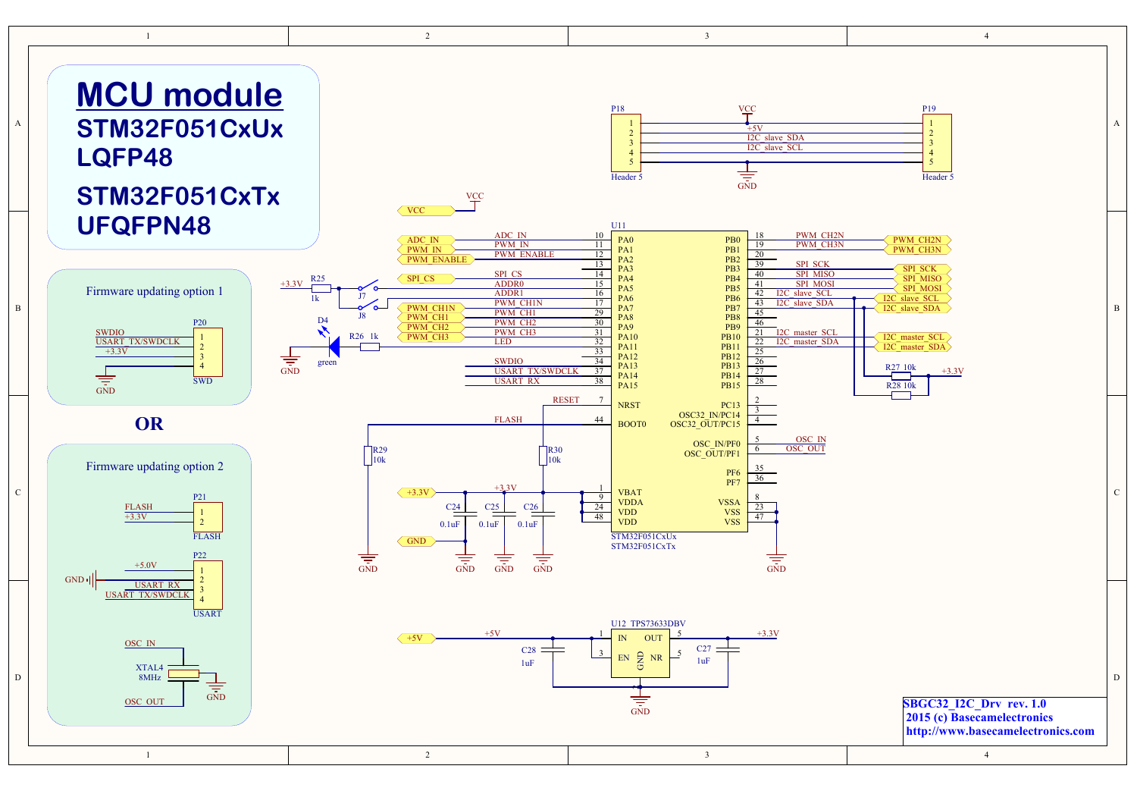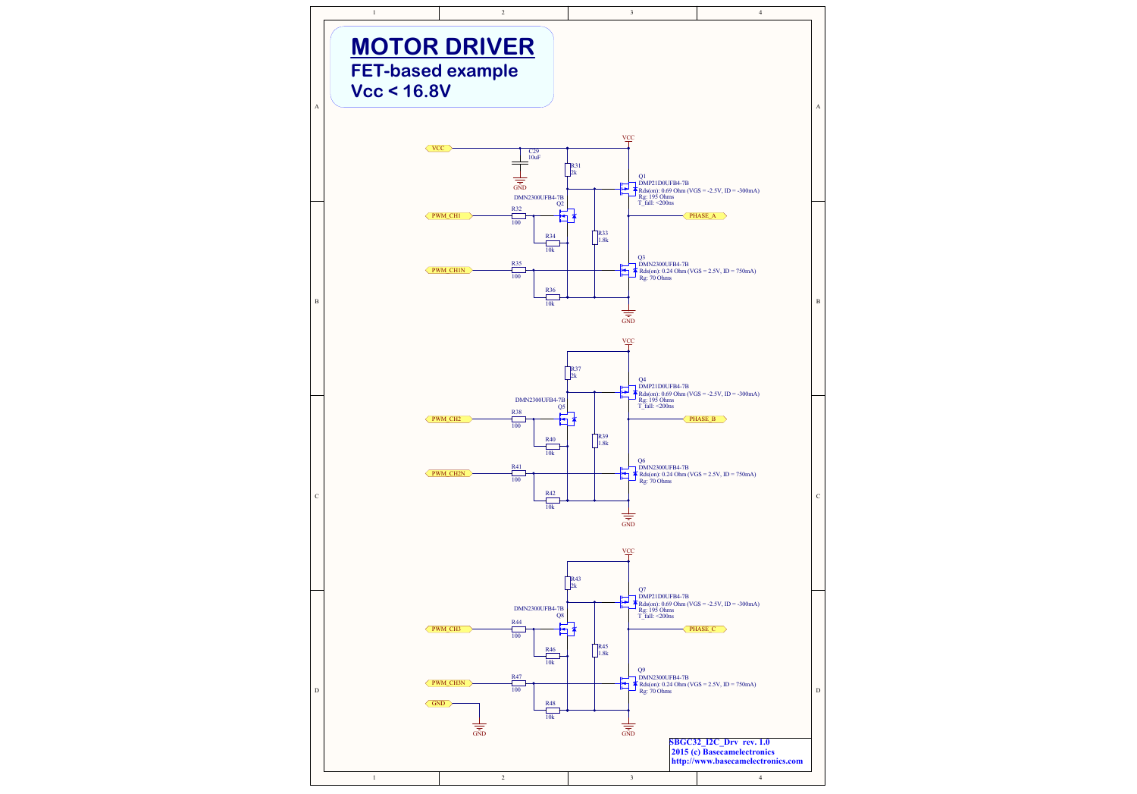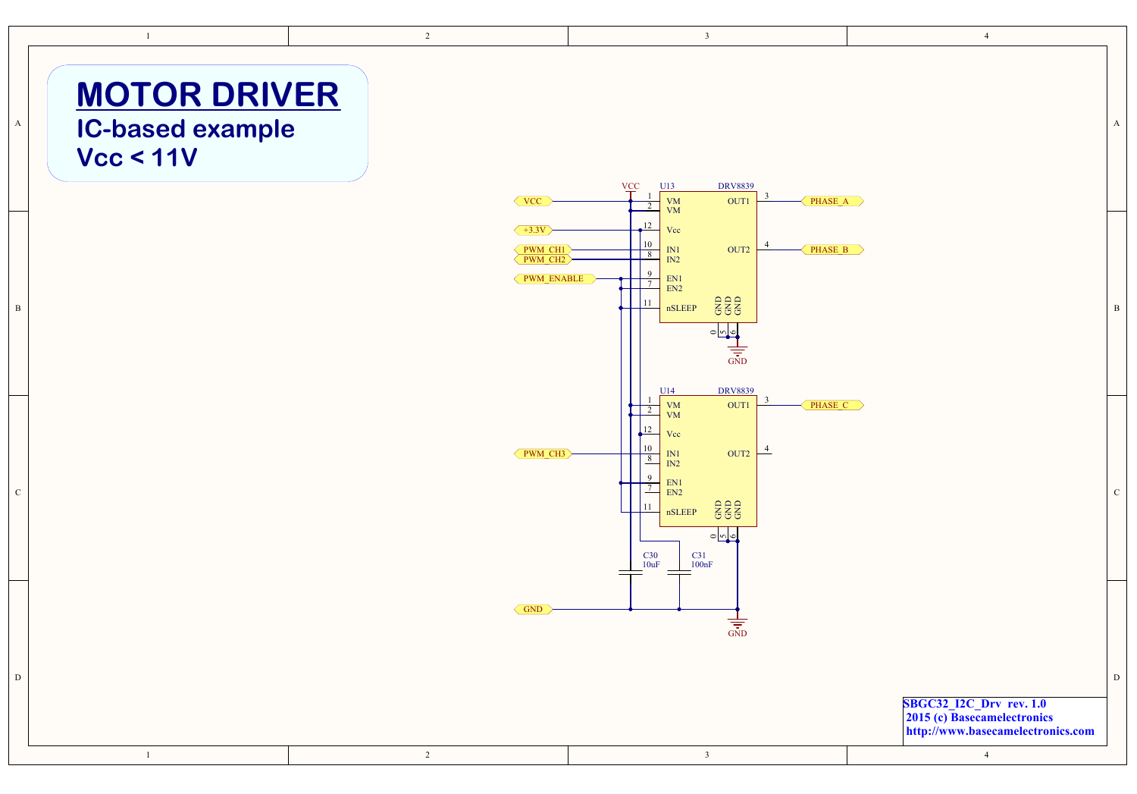